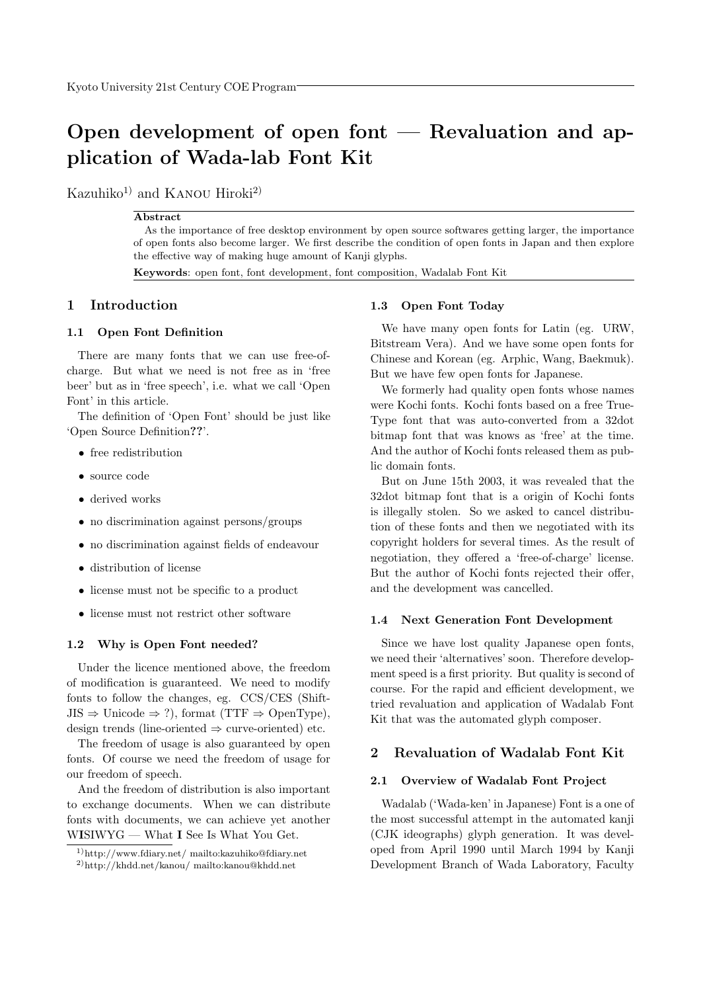# Open development of open font — Revaluation and application of Wada-lab Font Kit

Kazuhiko<sup>1)</sup> and KANOU Hiroki<sup>2)</sup>

#### Abstract

As the importance of free desktop environment by open source softwares getting larger, the importance of open fonts also become larger. We first describe the condition of open fonts in Japan and then explore the effective way of making huge amount of Kanji glyphs.

Keywords: open font, font development, font composition, Wadalab Font Kit

# 1 Introduction

#### 1.1 Open Font Definition

There are many fonts that we can use free-ofcharge. But what we need is not free as in 'free beer' but as in 'free speech', i.e. what we call 'Open Font' in this article.

The definition of 'Open Font' should be just like 'Open Source Definition??'.

- free redistribution
- source code
- derived works
- no discrimination against persons/groups
- no discrimination against fields of endeavour
- distribution of license
- license must not be specific to a product
- license must not restrict other software

#### 1.2 Why is Open Font needed?

Under the licence mentioned above, the freedom of modification is guaranteed. We need to modify fonts to follow the changes, eg. CCS/CES (Shift- $JIS \Rightarrow Unicode \Rightarrow ?$ , format (TTF  $\Rightarrow$  OpenType), design trends (line-oriented  $\Rightarrow$  curve-oriented) etc.

The freedom of usage is also guaranteed by open fonts. Of course we need the freedom of usage for our freedom of speech.

And the freedom of distribution is also important to exchange documents. When we can distribute fonts with documents, we can achieve yet another WISIWYG — What I See Is What You Get.

#### 1.3 Open Font Today

We have many open fonts for Latin (eg. URW, Bitstream Vera). And we have some open fonts for Chinese and Korean (eg. Arphic, Wang, Baekmuk). But we have few open fonts for Japanese.

We formerly had quality open fonts whose names were Kochi fonts. Kochi fonts based on a free True-Type font that was auto-converted from a 32dot bitmap font that was knows as 'free' at the time. And the author of Kochi fonts released them as public domain fonts.

But on June 15th 2003, it was revealed that the 32dot bitmap font that is a origin of Kochi fonts is illegally stolen. So we asked to cancel distribution of these fonts and then we negotiated with its copyright holders for several times. As the result of negotiation, they offered a 'free-of-charge' license. But the author of Kochi fonts rejected their offer, and the development was cancelled.

#### 1.4 Next Generation Font Development

Since we have lost quality Japanese open fonts, we need their 'alternatives' soon. Therefore development speed is a first priority. But quality is second of course. For the rapid and efficient development, we tried revaluation and application of Wadalab Font Kit that was the automated glyph composer.

# 2 Revaluation of Wadalab Font Kit

#### 2.1 Overview of Wadalab Font Project

Wadalab ('Wada-ken' in Japanese) Font is a one of the most successful attempt in the automated kanji (CJK ideographs) glyph generation. It was developed from April 1990 until March 1994 by Kanji Development Branch of Wada Laboratory, Faculty

<sup>1)</sup>http://www.fdiary.net/ mailto:kazuhiko@fdiary.net

<sup>2)</sup>http://khdd.net/kanou/ mailto:kanou@khdd.net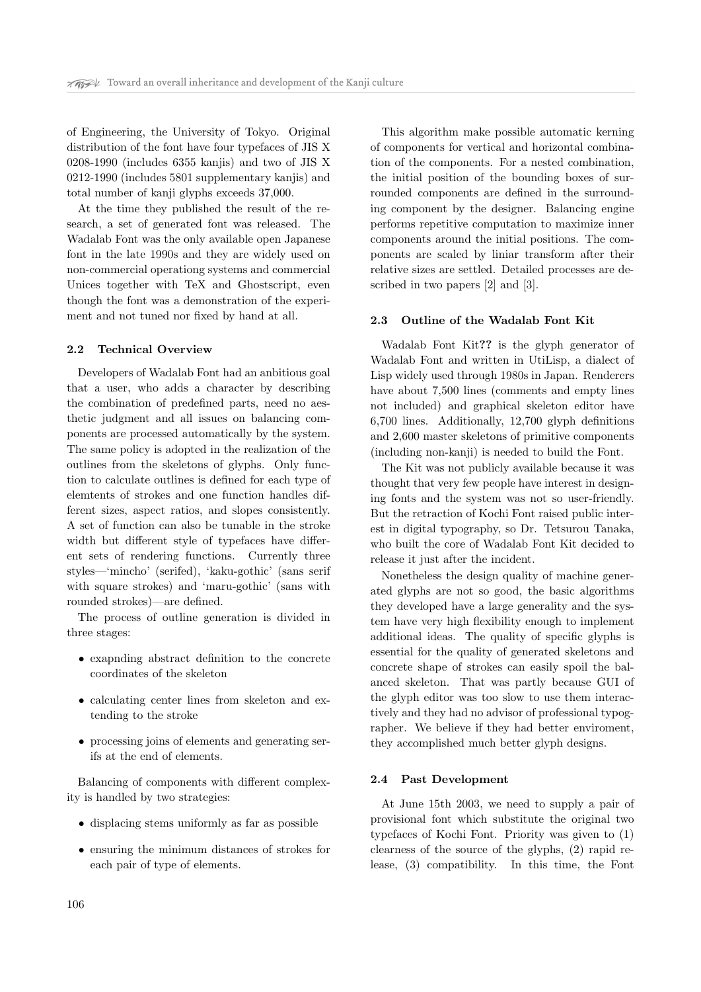of Engineering, the University of Tokyo. Original distribution of the font have four typefaces of JIS X 0208-1990 (includes 6355 kanjis) and two of JIS X 0212-1990 (includes 5801 supplementary kanjis) and total number of kanji glyphs exceeds 37,000.

At the time they published the result of the research, a set of generated font was released. The Wadalab Font was the only available open Japanese font in the late 1990s and they are widely used on non-commercial operationg systems and commercial Unices together with TeX and Ghostscript, even though the font was a demonstration of the experiment and not tuned nor fixed by hand at all.

#### 2.2 Technical Overview

Developers of Wadalab Font had an anbitious goal that a user, who adds a character by describing the combination of predefined parts, need no aesthetic judgment and all issues on balancing components are processed automatically by the system. The same policy is adopted in the realization of the outlines from the skeletons of glyphs. Only function to calculate outlines is defined for each type of elemtents of strokes and one function handles different sizes, aspect ratios, and slopes consistently. A set of function can also be tunable in the stroke width but different style of typefaces have different sets of rendering functions. Currently three styles—'mincho' (serifed), 'kaku-gothic' (sans serif with square strokes) and 'maru-gothic' (sans with rounded strokes)—are defined.

The process of outline generation is divided in three stages:

- exapnding abstract definition to the concrete coordinates of the skeleton
- calculating center lines from skeleton and extending to the stroke
- processing joins of elements and generating serifs at the end of elements.

Balancing of components with different complexity is handled by two strategies:

- displacing stems uniformly as far as possible
- ensuring the minimum distances of strokes for each pair of type of elements.

This algorithm make possible automatic kerning of components for vertical and horizontal combination of the components. For a nested combination, the initial position of the bounding boxes of surrounded components are defined in the surrounding component by the designer. Balancing engine performs repetitive computation to maximize inner components around the initial positions. The components are scaled by liniar transform after their relative sizes are settled. Detailed processes are described in two papers [2] and [3].

#### 2.3 Outline of the Wadalab Font Kit

Wadalab Font Kit?? is the glyph generator of Wadalab Font and written in UtiLisp, a dialect of Lisp widely used through 1980s in Japan. Renderers have about 7,500 lines (comments and empty lines not included) and graphical skeleton editor have 6,700 lines. Additionally, 12,700 glyph definitions and 2,600 master skeletons of primitive components (including non-kanji) is needed to build the Font.

The Kit was not publicly available because it was thought that very few people have interest in designing fonts and the system was not so user-friendly. But the retraction of Kochi Font raised public interest in digital typography, so Dr. Tetsurou Tanaka, who built the core of Wadalab Font Kit decided to release it just after the incident.

Nonetheless the design quality of machine generated glyphs are not so good, the basic algorithms they developed have a large generality and the system have very high flexibility enough to implement additional ideas. The quality of specific glyphs is essential for the quality of generated skeletons and concrete shape of strokes can easily spoil the balanced skeleton. That was partly because GUI of the glyph editor was too slow to use them interactively and they had no advisor of professional typographer. We believe if they had better enviroment, they accomplished much better glyph designs.

#### 2.4 Past Development

At June 15th 2003, we need to supply a pair of provisional font which substitute the original two typefaces of Kochi Font. Priority was given to (1) clearness of the source of the glyphs, (2) rapid release, (3) compatibility. In this time, the Font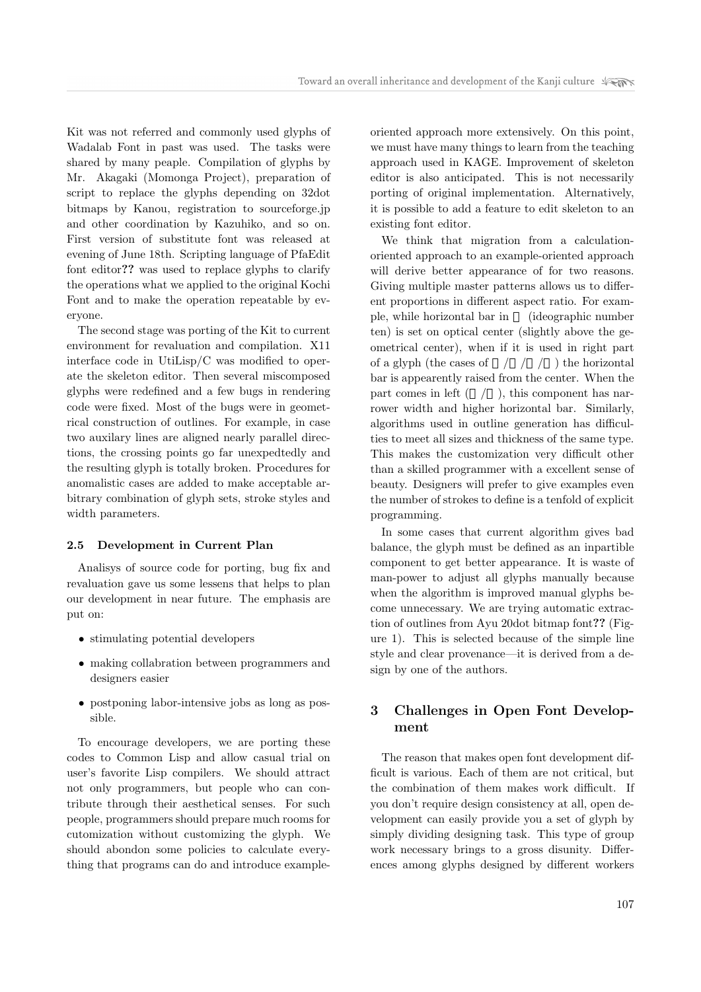Kit was not referred and commonly used glyphs of Wadalab Font in past was used. The tasks were shared by many peaple. Compilation of glyphs by Mr. Akagaki (Momonga Project), preparation of script to replace the glyphs depending on 32dot bitmaps by Kanou, registration to sourceforge.jp and other coordination by Kazuhiko, and so on. First version of substitute font was released at evening of June 18th. Scripting language of PfaEdit font editor?? was used to replace glyphs to clarify the operations what we applied to the original Kochi Font and to make the operation repeatable by everyone.

The second stage was porting of the Kit to current environment for revaluation and compilation. X11 interface code in UtiLisp/C was modified to operate the skeleton editor. Then several miscomposed glyphs were redefined and a few bugs in rendering code were fixed. Most of the bugs were in geometrical construction of outlines. For example, in case two auxilary lines are aligned nearly parallel directions, the crossing points go far unexpedtedly and the resulting glyph is totally broken. Procedures for anomalistic cases are added to make acceptable arbitrary combination of glyph sets, stroke styles and width parameters.

#### 2.5 Development in Current Plan

Analisys of source code for porting, bug fix and revaluation gave us some lessens that helps to plan our development in near future. The emphasis are put on:

- stimulating potential developers
- making collabration between programmers and designers easier
- postponing labor-intensive jobs as long as possible.

To encourage developers, we are porting these codes to Common Lisp and allow casual trial on user's favorite Lisp compilers. We should attract not only programmers, but people who can contribute through their aesthetical senses. For such people, programmers should prepare much rooms for cutomization without customizing the glyph. We should abondon some policies to calculate everything that programs can do and introduce exampleoriented approach more extensively. On this point, we must have many things to learn from the teaching approach used in KAGE. Improvement of skeleton editor is also anticipated. This is not necessarily porting of original implementation. Alternatively, it is possible to add a feature to edit skeleton to an existing font editor.

We think that migration from a calculationoriented approach to an example-oriented approach will derive better appearance of for two reasons. Giving multiple master patterns allows us to different proportions in different aspect ratio. For example, while horizontal bar in (ideographic number ten) is set on optical center (slightly above the geometrical center), when if it is used in right part of a glyph (the cases of  $\quad/ \quad / \quad /$ ) the horizontal bar is appearently raised from the center. When the part comes in left  $( / )$ , this component has narrower width and higher horizontal bar. Similarly, algorithms used in outline generation has difficulties to meet all sizes and thickness of the same type. This makes the customization very difficult other than a skilled programmer with a excellent sense of beauty. Designers will prefer to give examples even the number of strokes to define is a tenfold of explicit programming.

In some cases that current algorithm gives bad balance, the glyph must be defined as an inpartible component to get better appearance. It is waste of man-power to adjust all glyphs manually because when the algorithm is improved manual glyphs become unnecessary. We are trying automatic extraction of outlines from Ayu 20dot bitmap font?? (Figure 1). This is selected because of the simple line style and clear provenance—it is derived from a design by one of the authors.

# 3 Challenges in Open Font Development

The reason that makes open font development difficult is various. Each of them are not critical, but the combination of them makes work difficult. If you don't require design consistency at all, open development can easily provide you a set of glyph by simply dividing designing task. This type of group work necessary brings to a gross disunity. Differences among glyphs designed by different workers